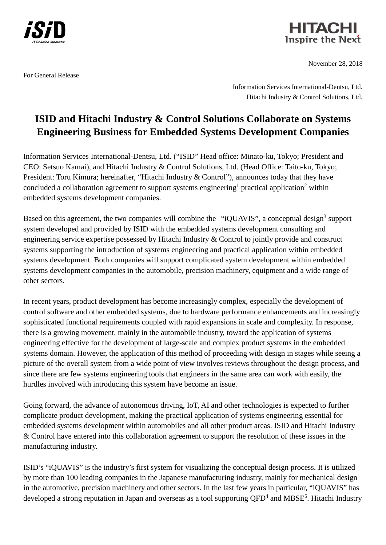

HITACHI Inspire the Next

November 28, 2018

For General Release

Information Services International-Dentsu, Ltd. Hitachi Industry & Control Solutions, Ltd.

## **ISID and Hitachi Industry & Control Solutions Collaborate on Systems Engineering Business for Embedded Systems Development Companies**

Information Services International-Dentsu, Ltd. ("ISID" Head office: Minato-ku, Tokyo; President and CEO: Setsuo Kamai), and Hitachi Industry & Control Solutions, Ltd. (Head Office: Taito-ku, Tokyo; President: Toru Kimura; hereinafter, "Hitachi Industry & Control"), announces today that they have concluded a collaboration agreement to support systems engineering<sup>1</sup> practical application<sup>2</sup> within embedded systems development companies.

Based on this agreement, the two companies will combine the "iQUAVIS", a conceptual design<sup>3</sup> support system developed and provided by ISID with the embedded systems development consulting and engineering service expertise possessed by Hitachi Industry & Control to jointly provide and construct systems supporting the introduction of systems engineering and practical application within embedded systems development. Both companies will support complicated system development within embedded systems development companies in the automobile, precision machinery, equipment and a wide range of other sectors.

In recent years, product development has become increasingly complex, especially the development of control software and other embedded systems, due to hardware performance enhancements and increasingly sophisticated functional requirements coupled with rapid expansions in scale and complexity. In response, there is a growing movement, mainly in the automobile industry, toward the application of systems engineering effective for the development of large-scale and complex product systems in the embedded systems domain. However, the application of this method of proceeding with design in stages while seeing a picture of the overall system from a wide point of view involves reviews throughout the design process, and since there are few systems engineering tools that engineers in the same area can work with easily, the hurdles involved with introducing this system have become an issue.

Going forward, the advance of autonomous driving, IoT, AI and other technologies is expected to further complicate product development, making the practical application of systems engineering essential for embedded systems development within automobiles and all other product areas. ISID and Hitachi Industry & Control have entered into this collaboration agreement to support the resolution of these issues in the manufacturing industry.

ISID's "iQUAVIS" is the industry's first system for visualizing the conceptual design process. It is utilized by more than 100 leading companies in the Japanese manufacturing industry, mainly for mechanical design in the automotive, precision machinery and other sectors. In the last few years in particular, "iQUAVIS" has developed a strong reputation in Japan and overseas as a tool supporting QFD<sup>4</sup> and MBSE<sup>5</sup>. Hitachi Industry